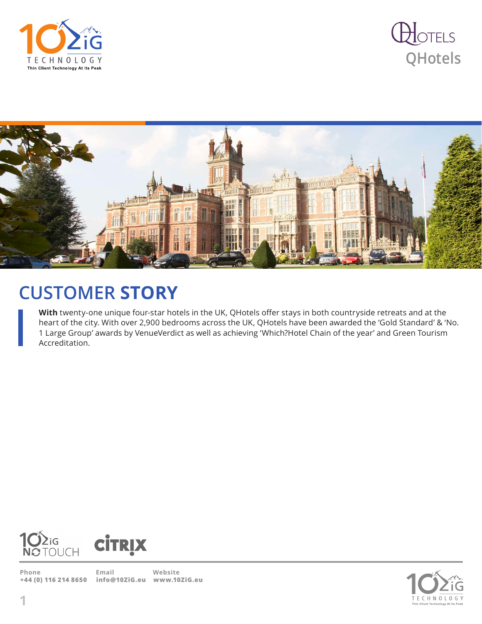





## **CUSTOMER STORY**

**With** twenty-one unique four-star hotels in the UK, QHotels offer stays in both countryside retreats and at the heart of the city. With over 2,900 bedrooms across the UK, QHotels have been awarded the 'Gold Standard' & 'No. 1 Large Group' awards by VenueVerdict as well as achieving 'Which?Hotel Chain of the year' and Green Tourism Accreditation.





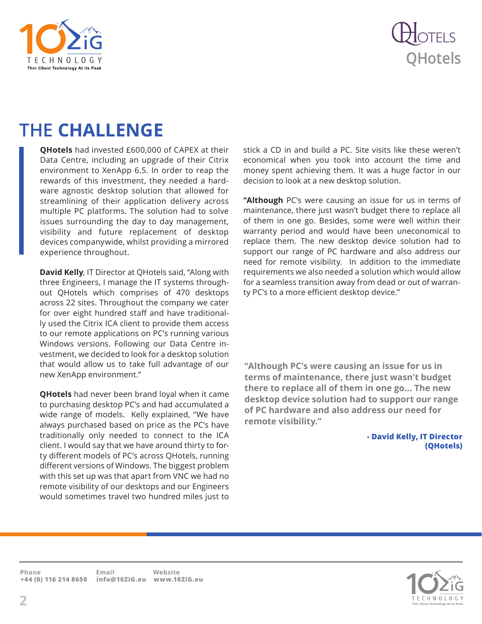



## **THE CHALLENGE**

**QHotels** had invested £600,000 of CAPEX at their Data Centre, including an upgrade of their Citrix environment to XenApp 6.5. In order to reap the rewards of this investment, they needed a hardware agnostic desktop solution that allowed for streamlining of their application delivery across multiple PC platforms. The solution had to solve issues surrounding the day to day management, visibility and future replacement of desktop devices companywide, whilst providing a mirrored experience throughout.

**David Kelly**, IT Director at QHotels said, "Along with three Engineers, I manage the IT systems throughout QHotels which comprises of 470 desktops across 22 sites. Throughout the company we cater for over eight hundred staff and have traditionally used the Citrix ICA client to provide them access to our remote applications on PC's running various Windows versions. Following our Data Centre investment, we decided to look for a desktop solution that would allow us to take full advantage of our new XenApp environment."

**QHotels** had never been brand loyal when it came to purchasing desktop PC's and had accumulated a wide range of models. Kelly explained, "We have always purchased based on price as the PC's have traditionally only needed to connect to the ICA client. I would say that we have around thirty to forty different models of PC's across QHotels, running different versions of Windows. The biggest problem with this set up was that apart from VNC we had no remote visibility of our desktops and our Engineers would sometimes travel two hundred miles just to

stick a CD in and build a PC. Site visits like these weren't economical when you took into account the time and money spent achieving them. It was a huge factor in our decision to look at a new desktop solution.

**"Although** PC's were causing an issue for us in terms of maintenance, there just wasn't budget there to replace all of them in one go. Besides, some were well within their warranty period and would have been uneconomical to replace them. The new desktop device solution had to support our range of PC hardware and also address our need for remote visibility. In addition to the immediate requirements we also needed a solution which would allow for a seamless transition away from dead or out of warranty PC's to a more efficient desktop device."

**"Although PC's were causing an issue for us in terms of maintenance, there just wasn't budget there to replace all of them in one go... The new desktop device solution had to support our range of PC hardware and also address our need for remote visibility."**

> **- David Kelly, IT Director (QHotels)**

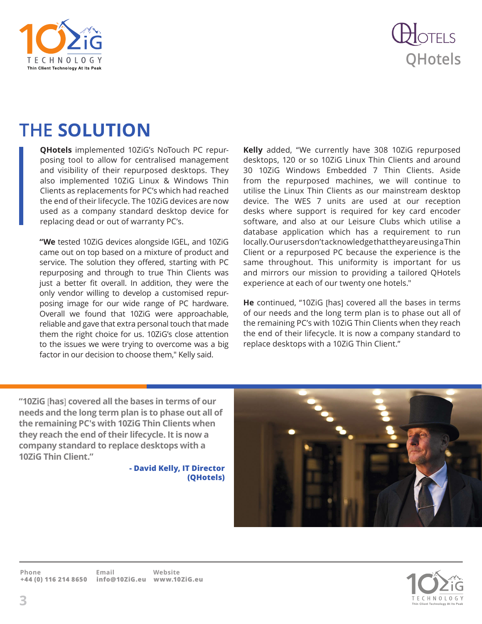



## **THE SOLUTION**

**QHotels** implemented 10ZiG's NoTouch PC repurposing tool to allow for centralised management and visibility of their repurposed desktops. They also implemented 10ZiG Linux & Windows Thin Clients as replacements for PC's which had reached the end of their lifecycle. The 10ZiG devices are now used as a company standard desktop device for replacing dead or out of warranty PC's.

**"We** tested 10ZiG devices alongside IGEL, and 10ZiG came out on top based on a mixture of product and service. The solution they offered, starting with PC repurposing and through to true Thin Clients was just a better fit overall. In addition, they were the only vendor willing to develop a customised repurposing image for our wide range of PC hardware. Overall we found that 10ZiG were approachable, reliable and gave that extra personal touch that made them the right choice for us. 10ZiG's close attention to the issues we were trying to overcome was a big factor in our decision to choose them," Kelly said.

**Kelly** added, "We currently have 308 10ZiG repurposed desktops, 120 or so 10ZiG Linux Thin Clients and around 30 10ZiG Windows Embedded 7 Thin Clients. Aside from the repurposed machines, we will continue to utilise the Linux Thin Clients as our mainstream desktop device. The WES 7 units are used at our reception desks where support is required for key card encoder software, and also at our Leisure Clubs which utilise a database application which has a requirement to run locally. Our users don't acknowledge that they are using a Thin Client or a repurposed PC because the experience is the same throughout. This uniformity is important for us and mirrors our mission to providing a tailored QHotels experience at each of our twenty one hotels."

**He** continued, "10ZiG [has] covered all the bases in terms of our needs and the long term plan is to phase out all of the remaining PC's with 10ZiG Thin Clients when they reach the end of their lifecycle. It is now a company standard to replace desktops with a 10ZiG Thin Client."

**"10ZiG** [**has**] **covered all the bases in terms of our needs and the long term plan is to phase out all of the remaining PC's with 10ZiG Thin Clients when they reach the end of their lifecycle. It is now a company standard to replace desktops with a 10ZiG Thin Client."**

> **- David Kelly, IT Director (QHotels)**